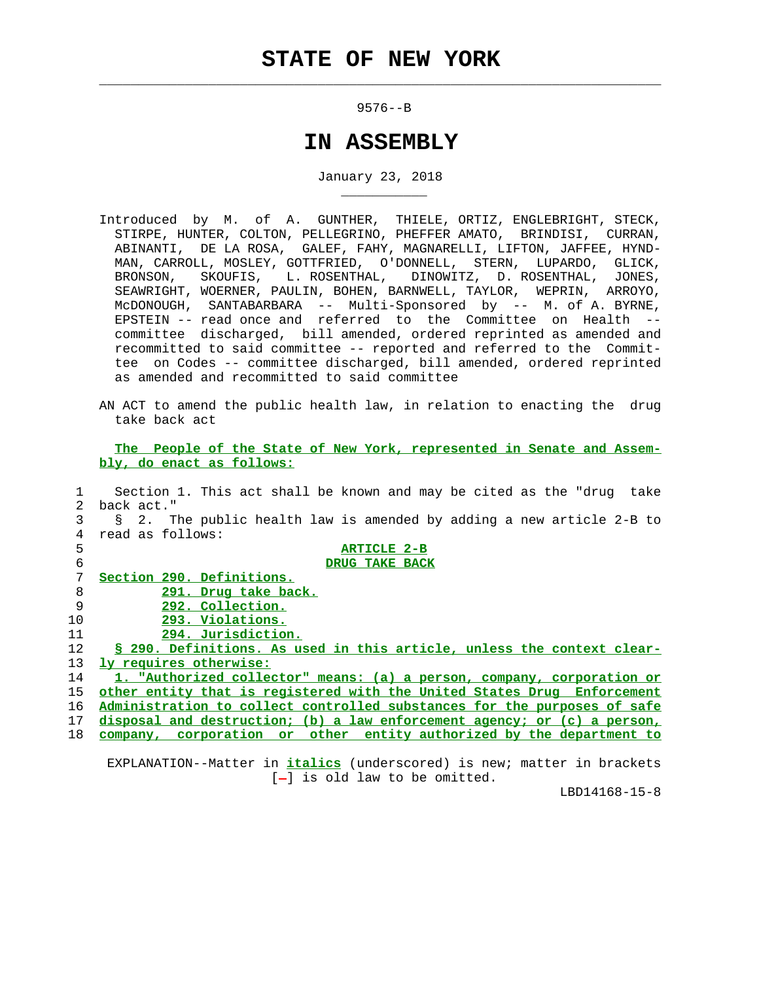$\mathcal{L}_\text{max} = \frac{1}{2} \sum_{i=1}^{n} \frac{1}{2} \sum_{i=1}^{n} \frac{1}{2} \sum_{i=1}^{n} \frac{1}{2} \sum_{i=1}^{n} \frac{1}{2} \sum_{i=1}^{n} \frac{1}{2} \sum_{i=1}^{n} \frac{1}{2} \sum_{i=1}^{n} \frac{1}{2} \sum_{i=1}^{n} \frac{1}{2} \sum_{i=1}^{n} \frac{1}{2} \sum_{i=1}^{n} \frac{1}{2} \sum_{i=1}^{n} \frac{1}{2} \sum_{i=1}^{n} \frac{1$ 

\_\_\_\_\_\_\_\_\_\_\_

9576--B

## **IN ASSEMBLY**

January 23, 2018

- Introduced by M. of A. GUNTHER, THIELE, ORTIZ, ENGLEBRIGHT, STECK, STIRPE, HUNTER, COLTON, PELLEGRINO, PHEFFER AMATO, BRINDISI, CURRAN, ABINANTI, DE LA ROSA, GALEF, FAHY, MAGNARELLI, LIFTON, JAFFEE, HYND- MAN, CARROLL, MOSLEY, GOTTFRIED, O'DONNELL, STERN, LUPARDO, GLICK, BRONSON, SKOUFIS, L. ROSENTHAL, DINOWITZ, D. ROSENTHAL, JONES, SEAWRIGHT, WOERNER, PAULIN, BOHEN, BARNWELL, TAYLOR, WEPRIN, ARROYO, McDONOUGH, SANTABARBARA -- Multi-Sponsored by -- M. of A. BYRNE, EPSTEIN -- read once and referred to the Committee on Health - committee discharged, bill amended, ordered reprinted as amended and recommitted to said committee -- reported and referred to the Commit tee on Codes -- committee discharged, bill amended, ordered reprinted as amended and recommitted to said committee
- AN ACT to amend the public health law, in relation to enacting the drug take back act

 **The People of the State of New York, represented in Senate and Assem bly, do enact as follows:**

 1 Section 1. This act shall be known and may be cited as the "drug take 2 back act." 3 § 2. The public health law is amended by adding a new article 2-B to 4 read as follows: **ARTICLE 2-B DRUG TAKE BACK Section 290. Definitions. 291. Drug take back. 292. Collection. 293. Violations. 294. Jurisdiction. § 290. Definitions. As used in this article, unless the context clear- ly requires otherwise: 1. "Authorized collector" means: (a) a person, company, corporation or other entity that is registered with the United States Drug Enforcement Administration to collect controlled substances for the purposes of safe disposal and destruction; (b) a law enforcement agency; or (c) a person, company, corporation or other entity authorized by the department to**

 EXPLANATION--Matter in **italics** (underscored) is new; matter in brackets  $[-]$  is old law to be omitted.

LBD14168-15-8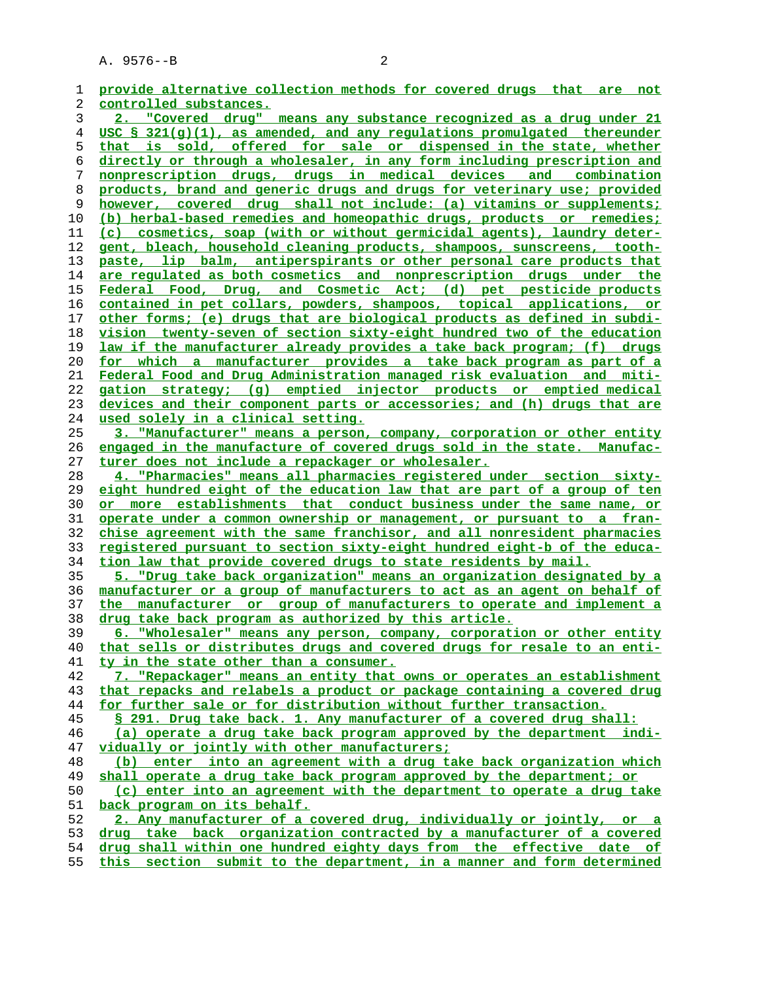| 1  | provide alternative collection methods for covered drugs that are not                                                      |
|----|----------------------------------------------------------------------------------------------------------------------------|
| 2  | controlled substances.                                                                                                     |
| 3  | 2. "Covered drug" means any substance recognized as a drug under 21                                                        |
| 4  | USC § 321(g)(1), as amended, and any regulations promulgated thereunder                                                    |
| 5  | that is sold, offered for sale or dispensed in the state, whether                                                          |
| б  | directly or through a wholesaler, in any form including prescription and                                                   |
| 7  | nonprescription drugs, drugs in medical devices and combination                                                            |
| 8  | products, brand and generic drugs and drugs for veterinary use; provided                                                   |
| 9  | however, covered drug shall not include: (a) vitamins or supplements;                                                      |
| 10 | (b) herbal-based remedies and homeopathic drugs, products or remedies;                                                     |
| 11 | (c) cosmetics, soap (with or without germicidal agents), laundry deter-                                                    |
| 12 | gent, bleach, household cleaning products, shampoos, sunscreens, tooth-                                                    |
| 13 | paste, lip balm, antiperspirants or other personal care products that                                                      |
| 14 | are regulated as both cosmetics and nonprescription drugs under the                                                        |
| 15 | Federal Food, Drug, and Cosmetic Act; (d) pet pesticide products                                                           |
| 16 | contained in pet collars, powders, shampoos, topical applications, or                                                      |
| 17 | other forms; (e) drugs that are biological products as defined in subdi-                                                   |
| 18 | vision twenty-seven of section sixty-eight hundred two of the education                                                    |
| 19 | law if the manufacturer already provides a take back program; (f) drugs                                                    |
| 20 | for which a manufacturer provides a take back program as part of a                                                         |
| 21 | Federal Food and Drug Administration managed risk evaluation and miti-                                                     |
| 22 | gation strategy; (q) emptied injector products or emptied medical                                                          |
| 23 | devices and their component parts or accessories; and (h) drugs that are                                                   |
| 24 | <u>used solely in a clinical setting.</u>                                                                                  |
| 25 | 3. "Manufacturer" means a person, company, corporation or other entity                                                     |
| 26 |                                                                                                                            |
| 27 | <u>engaged in the manufacture of covered drugs sold in the state. Manufac-</u>                                             |
| 28 | turer does not include a repackager or wholesaler.<br>4. "Pharmacies" means all pharmacies registered under section sixty- |
| 29 | eight hundred eight of the education law that are part of a group of ten                                                   |
| 30 | or more establishments that conduct business under the same name, or                                                       |
| 31 | <u>operate under a common ownership or management, or pursuant to a fran-</u>                                              |
| 32 | chise agreement with the same franchisor, and all nonresident pharmacies                                                   |
| 33 | <u>registered pursuant to section sixty-eight hundred eight-b of the educa-</u>                                            |
| 34 | tion law that provide covered drugs to state residents by mail.                                                            |
| 35 | 5. "Drug take back organization" means an organization designated by a                                                     |
| 36 | manufacturer or a group of manufacturers to act as an agent on behalf of                                                   |
| 37 | manufacturer or group of manufacturers to operate and implement a<br>the                                                   |
| 38 | drug take back program as authorized by this article.                                                                      |
| 39 | "Wholesaler" means any person, company, corporation or other entity<br>6.                                                  |
| 40 | that sells or distributes drugs and covered drugs for resale to an enti-                                                   |
| 41 | ty in the state other than a consumer.                                                                                     |
| 42 | 7. "Repackager" means an entity that owns or operates an establishment                                                     |
| 43 | that repacks and relabels a product or package containing a covered drug                                                   |
| 44 | for further sale or for distribution without further transaction.                                                          |
| 45 | § 291. Drug take back. 1. Any manufacturer of a covered drug shall:                                                        |
| 46 | (a) operate a drug take back program approved by the department indi-                                                      |
| 47 | vidually or jointly with other manufacturers;                                                                              |
| 48 | (b) enter into an agreement with a drug take back organization which                                                       |
| 49 | shall operate a drug take back program approved by the department; or                                                      |
| 50 | (c) enter into an agreement with the department to operate a drug take                                                     |
| 51 | back program on its behalf.                                                                                                |
| 52 | 2. Any manufacturer of a covered drug, individually or jointly, or a                                                       |
| 53 | drug take back organization contracted by a manufacturer of a covered                                                      |
| 54 | drug shall within one hundred eighty days from the effective date of                                                       |
|    |                                                                                                                            |

**this section submit to the department, in a manner and form determined**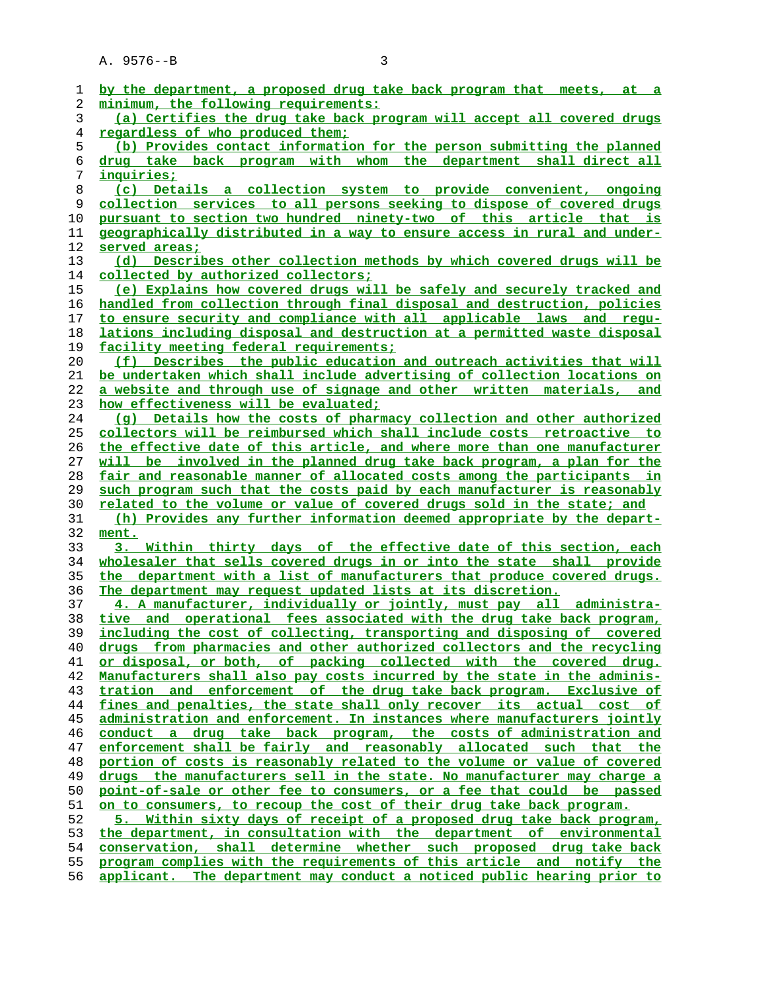| 1  | by the department, a proposed drug take back program that meets, at a    |
|----|--------------------------------------------------------------------------|
| 2  | minimum, the following requirements:                                     |
| 3  | (a) Certifies the drug take back program will accept all covered drugs   |
| 4  | regardless of who produced them;                                         |
| 5  | (b) Provides contact information for the person submitting the planned   |
| 6  | drug take back program with whom the department shall direct all         |
| 7  | <u>inquiries;</u>                                                        |
| 8  | (c) Details a collection system to provide convenient, ongoing           |
| 9  | collection services to all persons seeking to dispose of covered drugs   |
| 10 | pursuant to section two hundred ninety-two of this article that is       |
| 11 | geographically distributed in a way to ensure access in rural and under- |
| 12 | served areas;                                                            |
| 13 | (d) Describes other collection methods by which covered drugs will be    |
| 14 | collected by authorized collectors;                                      |
| 15 | (e) Explains how covered drugs will be safely and securely tracked and   |
| 16 | handled from collection through final disposal and destruction, policies |
| 17 | to ensure security and compliance with all applicable laws and requ-     |
| 18 | lations including disposal and destruction at a permitted waste disposal |
| 19 | facility meeting federal requirements;                                   |
| 20 | (f) Describes the public education and outreach activities that will     |
| 21 | be undertaken which shall include advertising of collection locations on |
| 22 | a website and through use of signage and other written materials, and    |
| 23 | how effectiveness will be evaluated;                                     |
| 24 | (g) Details how the costs of pharmacy collection and other authorized    |
| 25 | collectors will be reimbursed which shall include costs retroactive to   |
| 26 | the effective date of this article, and where more than one manufacturer |
| 27 | will be involved in the planned drug take back program, a plan for the   |
| 28 | fair and reasonable manner of allocated costs among the participants in  |
| 29 | such program such that the costs paid by each manufacturer is reasonably |
| 30 | related to the volume or value of covered drugs sold in the state; and   |
| 31 | (h) Provides any further information deemed appropriate by the depart-   |
| 32 | ment.                                                                    |
| 33 | 3. Within thirty days of the effective date of this section, each        |
| 34 | wholesaler that sells covered drugs in or into the state shall provide   |
| 35 | the department with a list of manufacturers that produce covered drugs.  |
| 36 | The department may request updated lists at its discretion.              |
| 37 | 4. A manufacturer, individually or jointly, must pay all administra-     |
| 38 | tive and operational fees associated with the drug take back program,    |
| 39 | including the cost of collecting, transporting and disposing of covered  |
| 40 | drugs from pharmacies and other authorized collectors and the recycling  |
| 41 | or disposal, or both, of packing collected with the covered drug.        |
| 42 | Manufacturers shall also pay costs incurred by the state in the adminis- |
| 43 | and enforcement of the drug take back program. Exclusive of<br>tration   |
| 44 | fines and penalties, the state shall only recover its actual cost of     |
| 45 | administration and enforcement. In instances where manufacturers jointly |
| 46 | drug take back program, the costs of administration and<br>conduct a     |
| 47 | enforcement shall be fairly and reasonably allocated such that<br>the    |
| 48 | portion of costs is reasonably related to the volume or value of covered |
| 49 | drugs the manufacturers sell in the state. No manufacturer may charge a  |
| 50 | point-of-sale or other fee to consumers, or a fee that could be passed   |
| 51 | on to consumers, to recoup the cost of their drug take back program.     |
| 52 | Within sixty days of receipt of a proposed drug take back program,<br>5. |
| 53 | the department, in consultation with the department of environmental     |
| 54 | conservation, shall determine whether such proposed drug take back       |
| 55 | program complies with the requirements of this article and notify the    |
| 56 | applicant. The department may conduct a noticed public hearing prior to  |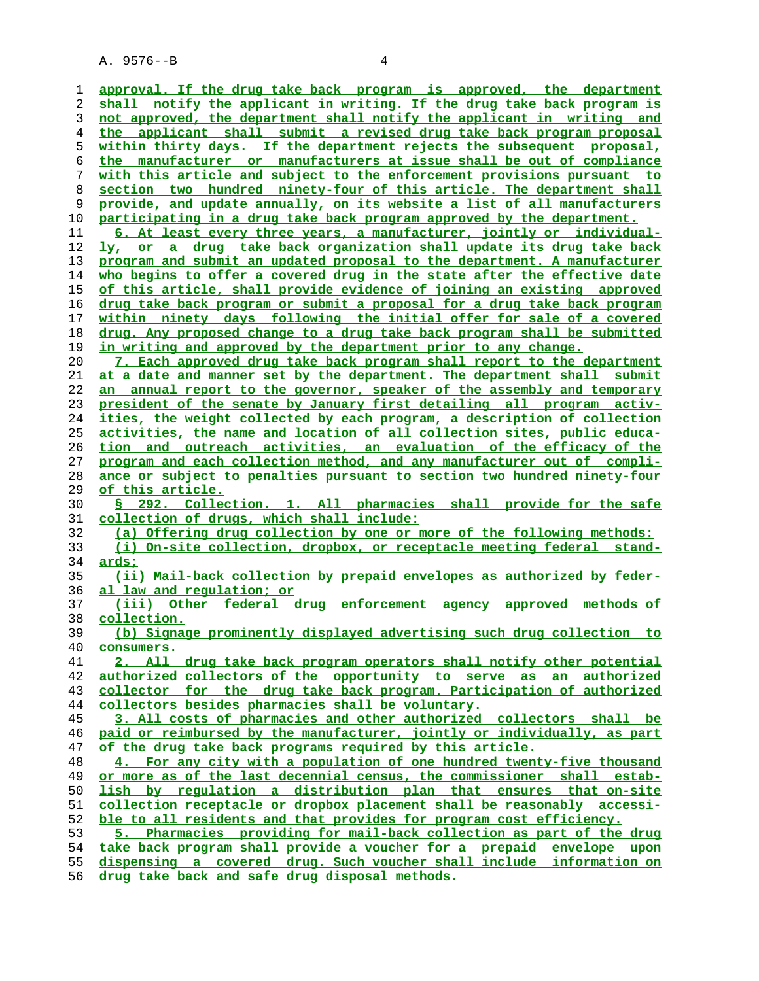**approval. If the drug take back program is approved, the department shall notify the applicant in writing. If the drug take back program is not approved, the department shall notify the applicant in writing and the applicant shall submit a revised drug take back program proposal within thirty days. If the department rejects the subsequent proposal, the manufacturer or manufacturers at issue shall be out of compliance with this article and subject to the enforcement provisions pursuant to section two hundred ninety-four of this article. The department shall provide, and update annually, on its website a list of all manufacturers participating in a drug take back program approved by the department. 6. At least every three years, a manufacturer, jointly or individual- ly, or a drug take back organization shall update its drug take back program and submit an updated proposal to the department. A manufacturer who begins to offer a covered drug in the state after the effective date of this article, shall provide evidence of joining an existing approved drug take back program or submit a proposal for a drug take back program within ninety days following the initial offer for sale of a covered drug. Any proposed change to a drug take back program shall be submitted in writing and approved by the department prior to any change. 7. Each approved drug take back program shall report to the department at a date and manner set by the department. The department shall submit an annual report to the governor, speaker of the assembly and temporary president of the senate by January first detailing all program activ- ities, the weight collected by each program, a description of collection activities, the name and location of all collection sites, public educa- tion and outreach activities, an evaluation of the efficacy of the program and each collection method, and any manufacturer out of compli- ance or subject to penalties pursuant to section two hundred ninety-four of this article. § 292. Collection. 1. All pharmacies shall provide for the safe collection of drugs, which shall include: (a) Offering drug collection by one or more of the following methods: (i) On-site collection, dropbox, or receptacle meeting federal stand- ards; (ii) Mail-back collection by prepaid envelopes as authorized by feder- al law and regulation; or (iii) Other federal drug enforcement agency approved methods of collection. (b) Signage prominently displayed advertising such drug collection to consumers. 2. All drug take back program operators shall notify other potential authorized collectors of the opportunity to serve as an authorized collector for the drug take back program. Participation of authorized collectors besides pharmacies shall be voluntary. 3. All costs of pharmacies and other authorized collectors shall be paid or reimbursed by the manufacturer, jointly or individually, as part of the drug take back programs required by this article. 4. For any city with a population of one hundred twenty-five thousand or more as of the last decennial census, the commissioner shall estab- lish by regulation a distribution plan that ensures that on-site collection receptacle or dropbox placement shall be reasonably accessi- ble to all residents and that provides for program cost efficiency. 5. Pharmacies providing for mail-back collection as part of the drug take back program shall provide a voucher for a prepaid envelope upon dispensing a covered drug. Such voucher shall include information on drug take back and safe drug disposal methods.**